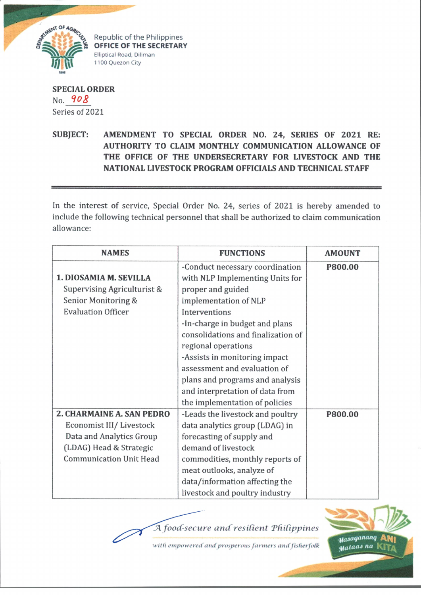

Republic of the Philippines **OFFICE OF THE SECRETARY** Elliptical Road, Diliman 1100 Quezon City

**SPECIAL ORDER** No. 908 Series of 2021

**SUBJECT: AMENDMENT TO SPECIAL ORDER NO. 24, SERIES OF 2021 RE: AUTHORITY TO CLAIM MONTHLY COMMUNICATION ALLOWANCE OF THE OFFICE OF THE UNDERSECRETARY FOR LIVESTOCK AND THE NATIONAL LIVESTOCK PROGRAM OFFICIALS AND TECHNICAL STAFF**

In the interest of service, Special Order No. 24, series of 2021 is hereby amended to include the following technical personnel that shall be authorized to claim communication allowance:

| <b>NAMES</b>                   | <b>FUNCTIONS</b>                   | <b>AMOUNT</b> |
|--------------------------------|------------------------------------|---------------|
|                                | -Conduct necessary coordination    | P800.00       |
| 1. DIOSAMIA M. SEVILLA         | with NLP Implementing Units for    |               |
| Supervising Agriculturist &    | proper and guided                  |               |
| Senior Monitoring &            | implementation of NLP              |               |
| <b>Evaluation Officer</b>      | Interventions                      |               |
|                                | -In-charge in budget and plans     |               |
|                                | consolidations and finalization of |               |
|                                | regional operations                |               |
|                                | -Assists in monitoring impact      |               |
|                                | assessment and evaluation of       |               |
|                                | plans and programs and analysis    |               |
|                                | and interpretation of data from    |               |
|                                | the implementation of policies     |               |
| 2. CHARMAINE A. SAN PEDRO      | -Leads the livestock and poultry   | P800.00       |
| Economist III/ Livestock       | data analytics group (LDAG) in     |               |
| Data and Analytics Group       | forecasting of supply and          |               |
| (LDAG) Head & Strategic        | demand of livestock                |               |
| <b>Communication Unit Head</b> | commodities, monthly reports of    |               |
|                                | meat outlooks, analyze of          |               |
|                                | data/information affecting the     |               |
|                                | livestock and poultry industry     |               |

A food-secure and resilient Philippines

with empowered and prosperous farmers and fisherfolk